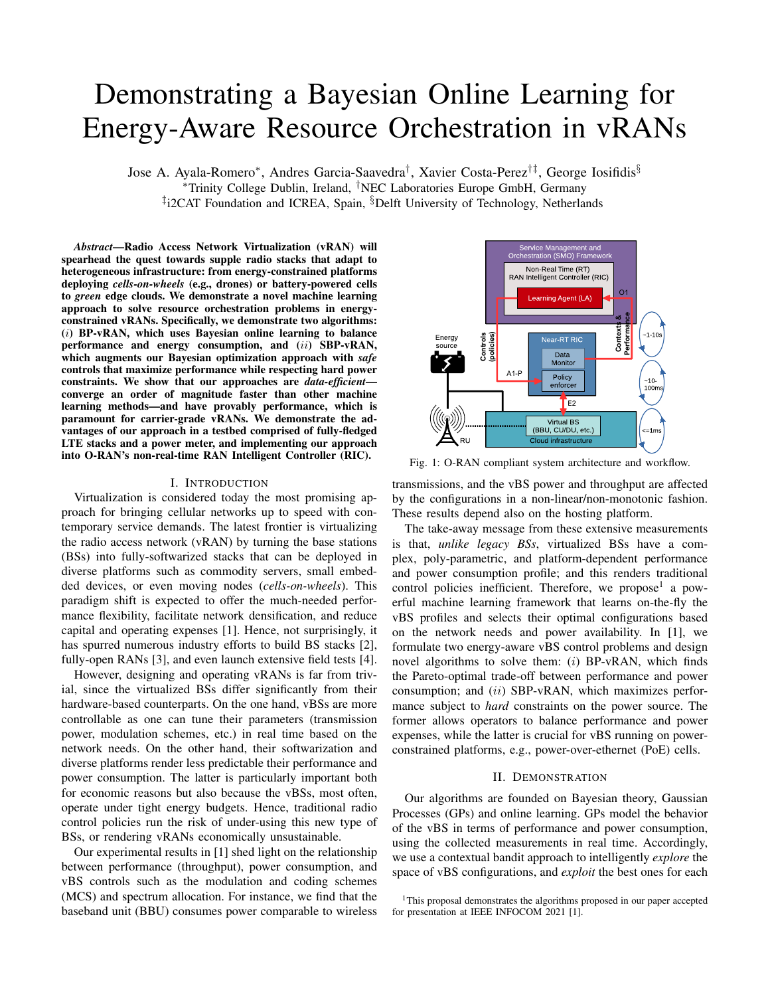# Demonstrating a Bayesian Online Learning for Energy-Aware Resource Orchestration in vRANs

Jose A. Ayala-Romero<sup>∗</sup> , Andres Garcia-Saavedra† , Xavier Costa-Perez†‡, George Iosifidis§ <sup>∗</sup>Trinity College Dublin, Ireland, †NEC Laboratories Europe GmbH, Germany <sup>‡</sup>i2CAT Foundation and ICREA, Spain, <sup>§</sup>Delft University of Technology, Netherlands

*Abstract*—Radio Access Network Virtualization (vRAN) will spearhead the quest towards supple radio stacks that adapt to heterogeneous infrastructure: from energy-constrained platforms deploying *cells-on-wheels* (e.g., drones) or battery-powered cells to *green* edge clouds. We demonstrate a novel machine learning approach to solve resource orchestration problems in energyconstrained vRANs. Specifically, we demonstrate two algorithms: (i) BP-vRAN, which uses Bayesian online learning to balance performance and energy consumption, and (ii) SBP-vRAN, which augments our Bayesian optimization approach with *safe* controls that maximize performance while respecting hard power constraints. We show that our approaches are *data-efficient* converge an order of magnitude faster than other machine learning methods—and have provably performance, which is paramount for carrier-grade vRANs. We demonstrate the advantages of our approach in a testbed comprised of fully-fledged LTE stacks and a power meter, and implementing our approach into O-RAN's non-real-time RAN Intelligent Controller (RIC).

# I. INTRODUCTION

Virtualization is considered today the most promising approach for bringing cellular networks up to speed with contemporary service demands. The latest frontier is virtualizing the radio access network (vRAN) by turning the base stations (BSs) into fully-softwarized stacks that can be deployed in diverse platforms such as commodity servers, small embedded devices, or even moving nodes (*cells-on-wheels*). This paradigm shift is expected to offer the much-needed performance flexibility, facilitate network densification, and reduce capital and operating expenses [1]. Hence, not surprisingly, it has spurred numerous industry efforts to build BS stacks [2], fully-open RANs [3], and even launch extensive field tests [4]. Lemanning methods—and haive providing in the stabe doministant of the interaction of the stabe domination of BAN consumes the function of a proposition of BAN consumes and one approach in a test-bed consumer comparable to

However, designing and operating vRANs is far from trivial, since the virtualized BSs differ significantly from their hardware-based counterparts. On the one hand, vBSs are more controllable as one can tune their parameters (transmission power, modulation schemes, etc.) in real time based on the network needs. On the other hand, their softwarization and diverse platforms render less predictable their performance and power consumption. The latter is particularly important both for economic reasons but also because the vBSs, most often, operate under tight energy budgets. Hence, traditional radio control policies run the risk of under-using this new type of BSs, or rendering vRANs economically unsustainable.

Our experimental results in [1] shed light on the relationship between performance (throughput), power consumption, and vBS controls such as the modulation and coding schemes (MCS) and spectrum allocation. For instance, we find that the



Fig. 1: O-RAN compliant system architecture and workflow.

transmissions, and the vBS power and throughput are affected by the configurations in a non-linear/non-monotonic fashion. These results depend also on the hosting platform.

The take-away message from these extensive measurements is that, *unlike legacy BSs*, virtualized BSs have a complex, poly-parametric, and platform-dependent performance and power consumption profile; and this renders traditional control policies inefficient. Therefore, we propose<sup>1</sup> a powerful machine learning framework that learns on-the-fly the vBS profiles and selects their optimal configurations based on the network needs and power availability. In [1], we formulate two energy-aware vBS control problems and design novel algorithms to solve them:  $(i)$  BP-vRAN, which finds the Pareto-optimal trade-off between performance and power consumption; and (ii) SBP-vRAN, which maximizes performance subject to *hard* constraints on the power source. The former allows operators to balance performance and power expenses, while the latter is crucial for vBS running on powerconstrained platforms, e.g., power-over-ethernet (PoE) cells.

# II. DEMONSTRATION

Our algorithms are founded on Bayesian theory, Gaussian Processes (GPs) and online learning. GPs model the behavior of the vBS in terms of performance and power consumption, using the collected measurements in real time. Accordingly, we use a contextual bandit approach to intelligently *explore* the space of vBS configurations, and *exploit* the best ones for each

<sup>&</sup>lt;sup>1</sup>This proposal demonstrates the algorithms proposed in our paper accepted for presentation at IEEE INFOCOM 2021 [1].